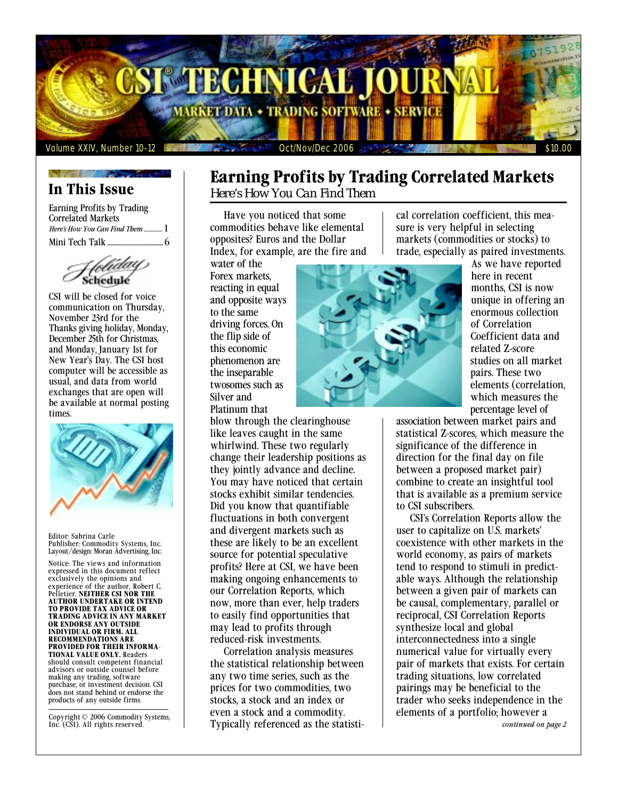

## **In This Issue**

Earning Profits by Trading Correlated Markets *Here's How You Can Find Them ...............* 1 Mini Tech Talk ................................... 6

CSI will be closed for voice communication on Thursday, November 23rd for the Thanks giving holiday, Monday, December 25th for Christmas, and Monday, January 1st for New Year's Day. The CSI host computer will be accessible as usual, and data from world exchanges that are open will be available at normal posting times.



Editor: Sabrina Carle Publisher: Commodity Systems, Inc. Layout/design: Moran Advertising, Inc.

Notice: The views and information expressed in this document reflect exclusively the opinions and experience of the author, Robert C. Pelletier. **NEITHER CSI NOR THE AUTHOR UNDERTAKE OR INTEND TO PROVIDE TAX ADVICE OR TRADING ADVICE IN ANY MARKET OR ENDORSE ANY OUTSIDE INDIVIDUAL OR FIRM. ALL RECOMMENDATIONS ARE PROVIDED FOR THEIR INFORMA-TIONAL VALUE ONLY.** Readers should consult competent financial advisors or outside counsel before making any trading, software purchase, or investment decision. CSI does not stand behind or endorse the products of any outside firms.

Copyright © 2006 Commodity Systems, Inc. (CSI). All rights reserved.

# **Earning Profits by Trading Correlated Markets**

*Here's How You Can Find Them*

Have you noticed that some commodities behave like elemental opposites? Euros and the Dollar Index, for example, are the fire and

water of the Forex markets, reacting in equal and opposite ways to the same driving forces. On the flip side of this economic phenomenon are the inseparable twosomes such as Silver and Platinum that

blow through the clearinghouse like leaves caught in the same whirlwind. These two regularly change their leadership positions as they jointly advance and decline. You may have noticed that certain stocks exhibit similar tendencies. Did you know that quantifiable fluctuations in both convergent and divergent markets such as these are likely to be an excellent source for potential speculative profits? Here at CSI, we have been making ongoing enhancements to our Correlation Reports, which now, more than ever, help traders to easily find opportunities that may lead to profits through reduced-risk investments.

Correlation analysis measures the statistical relationship between any two time series, such as the prices for two commodities, two stocks, a stock and an index or even a stock and a commodity. Typically referenced as the statisti-

cal correlation coefficient, this measure is very helpful in selecting markets (commodities or stocks) to trade, especially as paired investments.



As we have reported here in recent months, CSI is now unique in offering an enormous collection of Correlation Coefficient data and related Z-score studies on all market pairs. These two elements (correlation, which measures the percentage level of

association between market pairs and statistical Z-scores, which measure the significance of the difference in direction for the final day on file between a proposed market pair) combine to create an insightful tool that is available as a premium service to CSI subscribers.

CSI's Correlation Reports allow the user to capitalize on U.S. markets' coexistence with other markets in the world economy, as pairs of markets tend to respond to stimuli in predictable ways. Although the relationship between a given pair of markets can be causal, complementary, parallel or reciprocal, CSI Correlation Reports synthesize local and global interconnectedness into a single numerical value for virtually every pair of markets that exists. For certain trading situations, low correlated pairings may be beneficial to the trader who seeks independence in the elements of a portfolio; however a

*continued on page 2*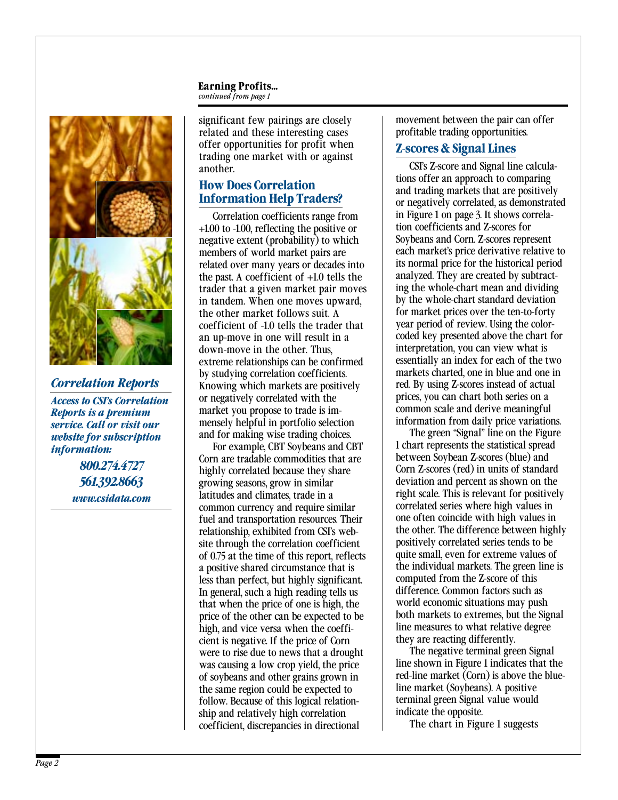#### **Earning Profits...** *continued from page 1*



*Correlation Reports Access to CSI's Correlation Reports is a premium service. Call or visit our website for subscription information:*

*800.274.4727 561.392.8663 www.csidata.com* significant few pairings are closely related and these interesting cases offer opportunities for profit when trading one market with or against another.

## **How Does Correlation Information Help Traders?**

Correlation coefficients range from +1.00 to -1.00, reflecting the positive or negative extent (probability) to which members of world market pairs are related over many years or decades into the past. A coefficient of +1.0 tells the trader that a given market pair moves in tandem. When one moves upward, the other market follows suit. A coefficient of -1.0 tells the trader that an up-move in one will result in a down-move in the other. Thus, extreme relationships can be confirmed by studying correlation coefficients. Knowing which markets are positively or negatively correlated with the market you propose to trade is immensely helpful in portfolio selection and for making wise trading choices.

For example, CBT Soybeans and CBT Corn are tradable commodities that are highly correlated because they share growing seasons, grow in similar latitudes and climates, trade in a common currency and require similar fuel and transportation resources. Their relationship, exhibited from CSI's website through the correlation coefficient of 0.75 at the time of this report, reflects a positive shared circumstance that is less than perfect, but highly significant. In general, such a high reading tells us that when the price of one is high, the price of the other can be expected to be high, and vice versa when the coefficient is negative. If the price of Corn were to rise due to news that a drought was causing a low crop yield, the price of soybeans and other grains grown in the same region could be expected to follow. Because of this logical relationship and relatively high correlation coefficient, discrepancies in directional

movement between the pair can offer profitable trading opportunities.

#### **Z-scores & Signal Lines**

CSI's Z-score and Signal line calculations offer an approach to comparing and trading markets that are positively or negatively correlated, as demonstrated in Figure 1 on page 3. It shows correlation coefficients and Z-scores for Soybeans and Corn. Z-scores represent each market's price derivative relative to its normal price for the historical period analyzed. They are created by subtracting the whole-chart mean and dividing by the whole-chart standard deviation for market prices over the ten-to-forty year period of review. Using the colorcoded key presented above the chart for interpretation, you can view what is essentially an index for each of the two markets charted, one in blue and one in red. By using Z-scores instead of actual prices, you can chart both series on a common scale and derive meaningful information from daily price variations.

The green "Signal" line on the Figure 1 chart represents the statistical spread between Soybean Z-scores (blue) and Corn Z-scores (red) in units of standard deviation and percent as shown on the right scale. This is relevant for positively correlated series where high values in one often coincide with high values in the other. The difference between highly positively correlated series tends to be quite small, even for extreme values of the individual markets. The green line is computed from the Z-score of this difference. Common factors such as world economic situations may push both markets to extremes, but the Signal line measures to what relative degree they are reacting differently.

The negative terminal green Signal line shown in Figure 1 indicates that the red-line market (Corn) is above the blueline market (Soybeans). A positive terminal green Signal value would indicate the opposite.

The chart in Figure 1 suggests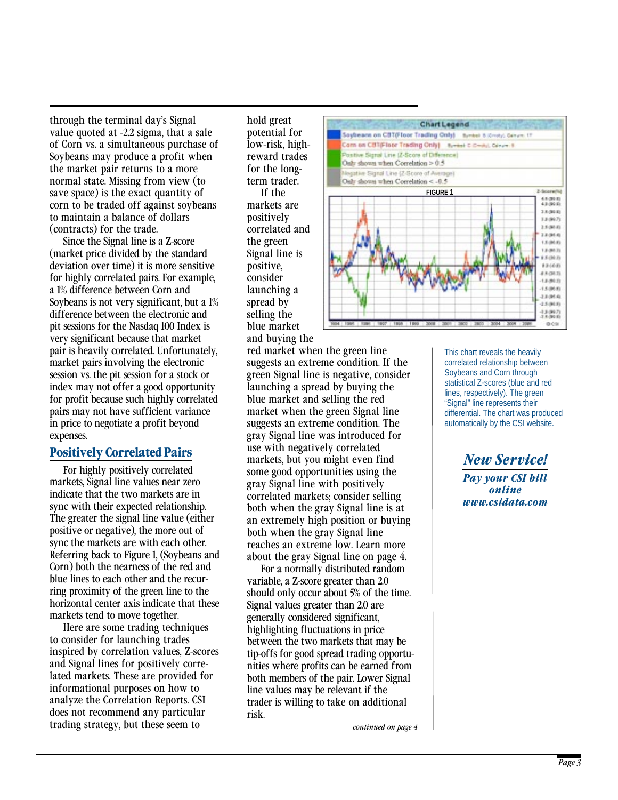through the terminal day's Signal value quoted at -2.2 sigma, that a sale of Corn vs. a simultaneous purchase of Soybeans may produce a profit when the market pair returns to a more normal state. Missing from view (to save space) is the exact quantity of corn to be traded off against soybeans to maintain a balance of dollars (contracts) for the trade.

Since the Signal line is a Z-score (market price divided by the standard deviation over time) it is more sensitive for highly correlated pairs. For example, a 1% difference between Corn and Soybeans is not very significant, but a 1% difference between the electronic and pit sessions for the Nasdaq 100 Index is very significant because that market pair is heavily correlated. Unfortunately, market pairs involving the electronic session vs. the pit session for a stock or index may not offer a good opportunity for profit because such highly correlated pairs may not have sufficient variance in price to negotiate a profit beyond expenses.

#### **Positively Correlated Pairs**

For highly positively correlated markets, Signal line values near zero indicate that the two markets are in sync with their expected relationship. The greater the signal line value (either positive or negative), the more out of sync the markets are with each other. Referring back to Figure 1, (Soybeans and Corn) both the nearness of the red and blue lines to each other and the recurring proximity of the green line to the horizontal center axis indicate that these markets tend to move together.

Here are some trading techniques to consider for launching trades inspired by correlation values, Z-scores and Signal lines for positively correlated markets. These are provided for informational purposes on how to analyze the Correlation Reports. CSI does not recommend any particular trading strategy, but these seem to

hold great potential for low-risk, highreward trades for the longterm trader. If the markets are positively correlated and the green Signal line is positive, consider launching a spread by selling the blue market and buying the



red market when the green line suggests an extreme condition. If the green Signal line is negative, consider launching a spread by buying the blue market and selling the red market when the green Signal line suggests an extreme condition. The gray Signal line was introduced for use with negatively correlated markets, but you might even find some good opportunities using the gray Signal line with positively correlated markets; consider selling both when the gray Signal line is at an extremely high position or buying both when the gray Signal line reaches an extreme low. Learn more about the gray Signal line on page 4.

For a normally distributed random variable, a Z-score greater than 2.0 should only occur about 5% of the time. Signal values greater than 2.0 are generally considered significant, highlighting fluctuations in price between the two markets that may be tip-offs for good spread trading opportunities where profits can be earned from both members of the pair. Lower Signal line values may be relevant if the trader is willing to take on additional risk.

This chart reveals the heavily correlated relationship between Soybeans and Corn through statistical Z-scores (blue and red lines, respectively). The green "Signal" line represents their differential. The chart was produced automatically by the CSI website.

*New Service!*

*Pay your CSI bill online www.csidata.com*

*continued on page 4*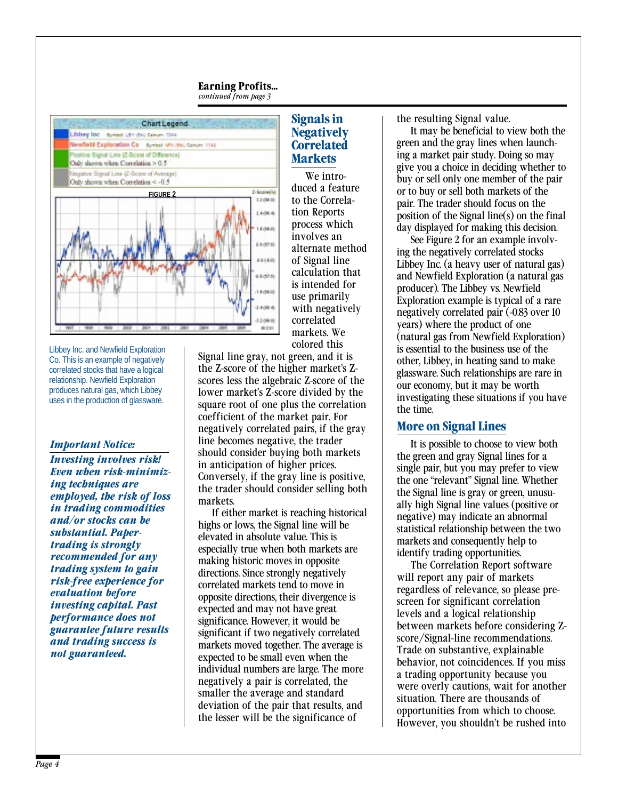#### **Earning Profits...** *continued from page 3*



Libbey Inc. and Newfield Exploration Co. This is an example of negatively correlated stocks that have a logical relationship. Newfield Exploration produces natural gas, which Libbey uses in the production of glassware.

#### *Important Notice:*

*Investing involves risk! Even when risk-minimizing techniques are employed, the risk of loss in trading commodities and/or stocks can be substantial. Papertrading is strongly recommended for any trading system to gain risk-free experience for evaluation before investing capital. Past performance does not guarantee future results and trading success is not guaranteed.*

#### **Signals in Negatively Correlated Markets**

We introduced a feature to the Correlation Reports process which involves an alternate method of Signal line calculation that is intended for use primarily with negatively correlated markets. We colored this

Signal line gray, not green, and it is the Z-score of the higher market's Zscores less the algebraic Z-score of the lower market's Z-score divided by the square root of one plus the correlation coefficient of the market pair. For negatively correlated pairs, if the gray line becomes negative, the trader should consider buying both markets in anticipation of higher prices. Conversely, if the gray line is positive, the trader should consider selling both markets.

If either market is reaching historical highs or lows, the Signal line will be elevated in absolute value. This is especially true when both markets are making historic moves in opposite directions. Since strongly negatively correlated markets tend to move in opposite directions, their divergence is expected and may not have great significance. However, it would be significant if two negatively correlated markets moved together. The average is expected to be small even when the individual numbers are large. The more negatively a pair is correlated, the smaller the average and standard deviation of the pair that results, and the lesser will be the significance of

the resulting Signal value.

It may be beneficial to view both the green and the gray lines when launching a market pair study. Doing so may give you a choice in deciding whether to buy or sell only one member of the pair or to buy or sell both markets of the pair. The trader should focus on the position of the Signal line(s) on the final day displayed for making this decision.

See Figure 2 for an example involving the negatively correlated stocks Libbey Inc. (a heavy user of natural gas) and Newfield Exploration (a natural gas producer). The Libbey vs. Newfield Exploration example is typical of a rare negatively correlated pair (-0.83 over 10 years) where the product of one (natural gas from Newfield Exploration) is essential to the business use of the other, Libbey, in heating sand to make glassware. Such relationships are rare in our economy, but it may be worth investigating these situations if you have the time.

#### **More on Signal Lines**

It is possible to choose to view both the green and gray Signal lines for a single pair, but you may prefer to view the one "relevant" Signal line. Whether the Signal line is gray or green, unusually high Signal line values (positive or negative) may indicate an abnormal statistical relationship between the two markets and consequently help to identify trading opportunities.

The Correlation Report software will report any pair of markets regardless of relevance, so please prescreen for significant correlation levels and a logical relationship between markets before considering Zscore/Signal-line recommendations. Trade on substantive, explainable behavior, not coincidences. If you miss a trading opportunity because you were overly cautions, wait for another situation. There are thousands of opportunities from which to choose. However, you shouldn't be rushed into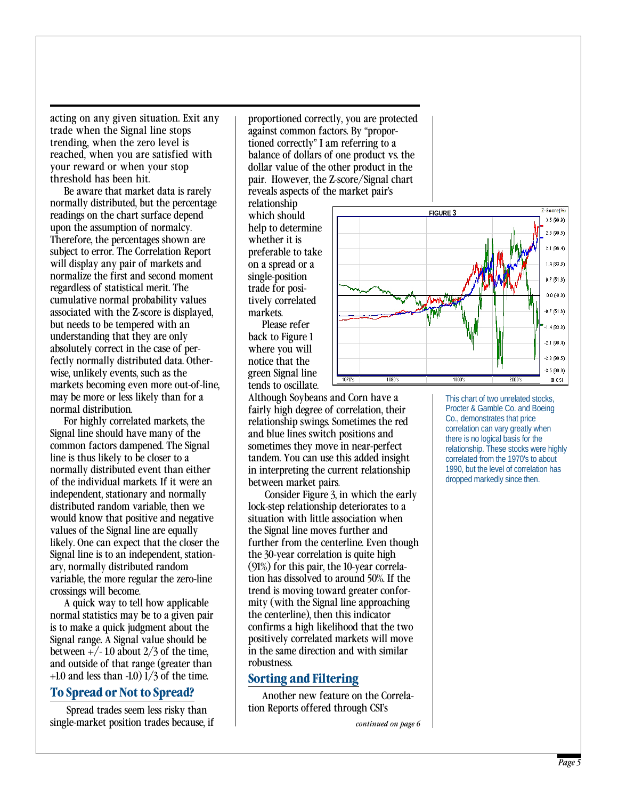acting on any given situation. Exit any trade when the Signal line stops trending, when the zero level is reached, when you are satisfied with your reward or when your stop threshold has been hit.

Be aware that market data is rarely normally distributed, but the percentage readings on the chart surface depend upon the assumption of normalcy. Therefore, the percentages shown are subject to error. The Correlation Report will display any pair of markets and normalize the first and second moment regardless of statistical merit. The cumulative normal probability values associated with the Z-score is displayed, but needs to be tempered with an understanding that they are only absolutely correct in the case of perfectly normally distributed data. Otherwise, unlikely events, such as the markets becoming even more out-of-line, may be more or less likely than for a normal distribution.

For highly correlated markets, the Signal line should have many of the common factors dampened. The Signal line is thus likely to be closer to a normally distributed event than either of the individual markets. If it were an independent, stationary and normally distributed random variable, then we would know that positive and negative values of the Signal line are equally likely. One can expect that the closer the Signal line is to an independent, stationary, normally distributed random variable, the more regular the zero-line crossings will become.

A quick way to tell how applicable normal statistics may be to a given pair is to make a quick judgment about the Signal range. A Signal value should be between  $+/- 1.0$  about  $2/3$  of the time, and outside of that range (greater than  $+1.0$  and less than  $-1.0$ )  $1/3$  of the time.

#### **To Spread or Not to Spread?**

 Spread trades seem less risky than single-market position trades because, if

proportioned correctly, you are protected against common factors. By "proportioned correctly" I am referring to a balance of dollars of one product vs. the dollar value of the other product in the pair. However, the Z-score/Signal chart reveals aspects of the market pair's

relationship which should help to determine whether it is preferable to take on a spread or a single-position trade for positively correlated markets.

Please refer back to Figure 1 where you will notice that the green Signal line tends to oscillate.

Although Soybeans and Corn have a fairly high degree of correlation, their relationship swings. Sometimes the red and blue lines switch positions and sometimes they move in near-perfect tandem. You can use this added insight in interpreting the current relationship between market pairs.

 Consider Figure 3, in which the early lock-step relationship deteriorates to a situation with little association when the Signal line moves further and further from the centerline. Even though the 30-year correlation is quite high (91%) for this pair, the 10-year correlation has dissolved to around 50%. If the trend is moving toward greater conformity (with the Signal line approaching the centerline), then this indicator confirms a high likelihood that the two positively correlated markets will move in the same direction and with similar robustness.

#### **Sorting and Filtering**

Another new feature on the Correlation Reports offered through CSI's

*continued on page 6*



This chart of two unrelated stocks, Procter & Gamble Co. and Boeing Co., demonstrates that price correlation can vary greatly when there is no logical basis for the relationship. These stocks were highly correlated from the 1970's to about 1990, but the level of correlation has dropped markedly since then.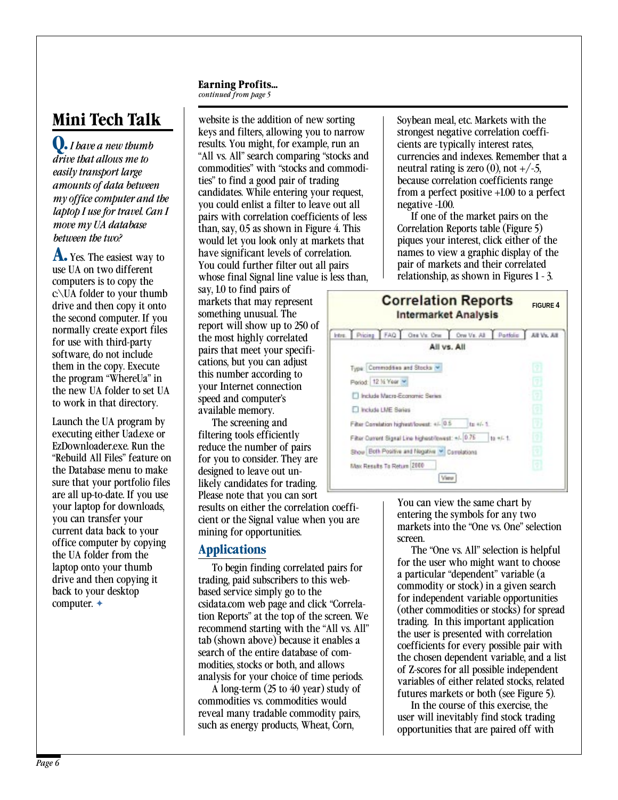#### **Earning Profits...**

*continued from page 5*

# **Mini Tech Talk**

**Q.***I have a new thumb drive that allows me to easily transport large amounts of data between my office computer and the laptop I use for travel. Can I move my UA database between the two?*

**A.** Yes. The easiest way to use UA on two different computers is to copy the c:\UA folder to your thumb drive and then copy it onto the second computer. If you normally create export files for use with third-party software, do not include them in the copy. Execute the program "WhereUa" in the new UA folder to set UA to work in that directory.

Launch the UA program by executing either Uad.exe or EzDownloader.exe. Run the "Rebuild All Files" feature on the Database menu to make sure that your portfolio files are all up-to-date. If you use your laptop for downloads, you can transfer your current data back to your office computer by copying the UA folder from the laptop onto your thumb drive and then copying it back to your desktop computer. ✦

website is the addition of new sorting keys and filters, allowing you to narrow results. You might, for example, run an "All vs. All" search comparing "stocks and commodities" with "stocks and commodities" to find a good pair of trading candidates. While entering your request, you could enlist a filter to leave out all pairs with correlation coefficients of less than, say, 0.5 as shown in Figure 4. This would let you look only at markets that have significant levels of correlation. You could further filter out all pairs whose final Signal line value is less than,

say, 1.0 to find pairs of markets that may represent something unusual. The report will show up to 250 of the most highly correlated pairs that meet your specifications, but you can adjust this number according to your Internet connection speed and computer's available memory.

The screening and filtering tools efficiently reduce the number of pairs for you to consider. They are designed to leave out unlikely candidates for trading. Please note that you can sort results on either the correlation coefficient or the Signal value when you are mining for opportunities.

## **Applications**

To begin finding correlated pairs for trading, paid subscribers to this webbased service simply go to the csidata.com web page and click "Correlation Reports" at the top of the screen. We recommend starting with the "All vs. All" tab (shown above) because it enables a search of the entire database of commodities, stocks or both, and allows analysis for your choice of time periods.

A long-term (25 to 40 year) study of commodities vs. commodities would reveal many tradable commodity pairs, such as energy products, Wheat, Corn,

Soybean meal, etc. Markets with the strongest negative correlation coefficients are typically interest rates, currencies and indexes. Remember that a neutral rating is zero (0), not  $+/-5$ , because correlation coefficients range from a perfect positive +1.00 to a perfect negative -1.00.

If one of the market pairs on the Correlation Reports table (Figure 5) piques your interest, click either of the names to view a graphic display of the pair of markets and their correlated relationship, as shown in Figures 1 - 3.



You can view the same chart by entering the symbols for any two markets into the "One vs. One" selection screen.

The "One vs. All" selection is helpful for the user who might want to choose a particular "dependent" variable (a commodity or stock) in a given search for independent variable opportunities (other commodities or stocks) for spread trading. In this important application the user is presented with correlation coefficients for every possible pair with the chosen dependent variable, and a list of Z-scores for all possible independent variables of either related stocks, related futures markets or both (see Figure 5).

In the course of this exercise, the user will inevitably find stock trading opportunities that are paired off with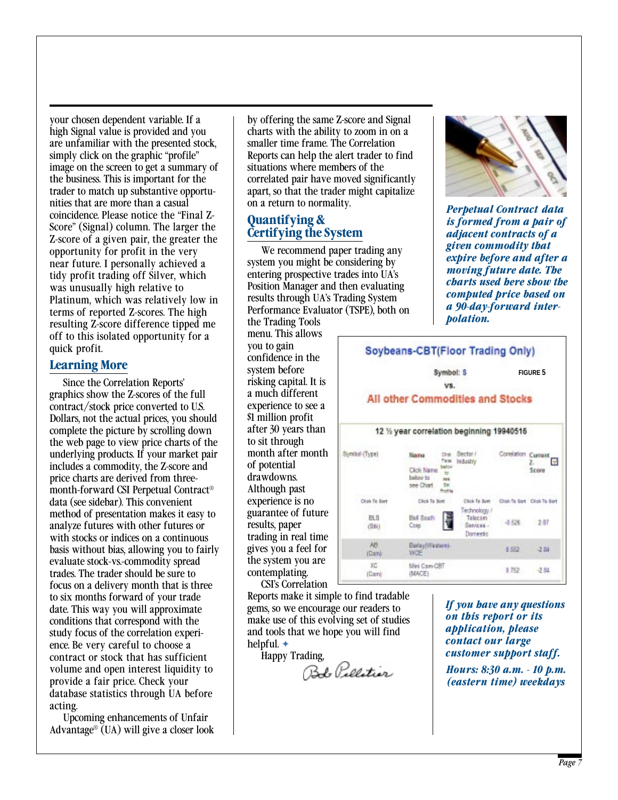your chosen dependent variable. If a high Signal value is provided and you are unfamiliar with the presented stock, simply click on the graphic "profile" image on the screen to get a summary of the business. This is important for the trader to match up substantive opportunities that are more than a casual coincidence. Please notice the "Final Z-Score" (Signal) column. The larger the Z-score of a given pair, the greater the opportunity for profit in the very near future. I personally achieved a tidy profit trading off Silver, which was unusually high relative to Platinum, which was relatively low in terms of reported Z-scores. The high resulting Z-score difference tipped me off to this isolated opportunity for a quick profit.

#### **Learning More**

Since the Correlation Reports' graphics show the Z-scores of the full contract/stock price converted to U.S. Dollars, not the actual prices, you should complete the picture by scrolling down the web page to view price charts of the underlying products. If your market pair includes a commodity, the Z-score and price charts are derived from threemonth-forward CSI Perpetual Contract® data (see sidebar). This convenient method of presentation makes it easy to analyze futures with other futures or with stocks or indices on a continuous basis without bias, allowing you to fairly evaluate stock-vs.-commodity spread trades. The trader should be sure to focus on a delivery month that is three to six months forward of your trade date. This way you will approximate conditions that correspond with the study focus of the correlation experience. Be very careful to choose a contract or stock that has sufficient volume and open interest liquidity to provide a fair price. Check your database statistics through UA before acting.

Upcoming enhancements of Unfair Advantage<sup>®</sup> (UA) will give a closer look by offering the same Z-score and Signal charts with the ability to zoom in on a smaller time frame. The Correlation Reports can help the alert trader to find situations where members of the correlated pair have moved significantly apart, so that the trader might capitalize on a return to normality.

### **Quantifying & Certifying the System**

We recommend paper trading any system you might be considering by entering prospective trades into UA's Position Manager and then evaluating results through UA's Trading System Performance Evaluator (TSPE), both on

the Trading Tools menu. This allows you to gain confidence in the system before risking capital. It is a much different experience to see a \$1 million profit after 30 years than to sit through month after month of potential drawdowns. Although past experience is no guarantee of future results, paper trading in real time gives you a feel for the system you are contemplating. CSI's Correlation

Reports make it simple to find tradable gems, so we encourage our readers to make use of this evolving set of studies and tools that we hope you will find helpful. ✦

Happy Trading,<br>Bob *Pallatior* 



*Perpetual Contract data is formed from a pair of adjacent contracts of a given commodity that expire before and after a moving future date. The charts used here show the computed price based on a 90-day-forward interpolation.*



*If you have any questions on this report or its application, please contact our large customer support staff.*

*Hours: 8:30 a.m. - 10 p.m. (eastern time) weekdays*